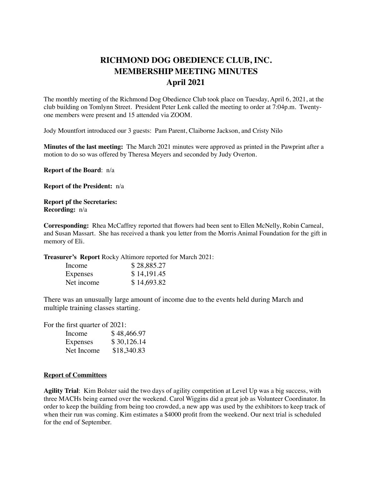## **RICHMOND DOG OBEDIENCE CLUB, INC. MEMBERSHIP MEETING MINUTES April 2021**

The monthly meeting of the Richmond Dog Obedience Club took place on Tuesday, April 6, 2021, at the club building on Tomlynn Street. President Peter Lenk called the meeting to order at 7:04p.m. Twentyone members were present and 15 attended via ZOOM.

Jody Mountfort introduced our 3 guests: Pam Parent, Claiborne Jackson, and Cristy Nilo

**Minutes of the last meeting:** The March 2021 minutes were approved as printed in the Pawprint after a motion to do so was offered by Theresa Meyers and seconded by Judy Overton.

**Report of the Board**: n/a

**Report of the President:** n/a

**Report pf the Secretaries: Recording:** n/a

**Corresponding:** Rhea McCaffrey reported that flowers had been sent to Ellen McNelly, Robin Carneal, and Susan Massart. She has received a thank you letter from the Morris Animal Foundation for the gift in memory of Eli.

**Treasurer's Report** Rocky Altimore reported for March 2021:

| Income     | \$28,885.27 |
|------------|-------------|
| Expenses   | \$14,191.45 |
| Net income | \$14,693.82 |

There was an unusually large amount of income due to the events held during March and multiple training classes starting.

For the first quarter of 2021:

| Income     | \$48,466.97 |
|------------|-------------|
| Expenses   | \$30,126.14 |
| Net Income | \$18,340.83 |

## **Report of Committees**

**Agility Trial**: Kim Bolster said the two days of agility competition at Level Up was a big success, with three MACHs being earned over the weekend. Carol Wiggins did a great job as Volunteer Coordinator. In order to keep the building from being too crowded, a new app was used by the exhibitors to keep track of when their run was coming. Kim estimates a \$4000 profit from the weekend. Our next trial is scheduled for the end of September.